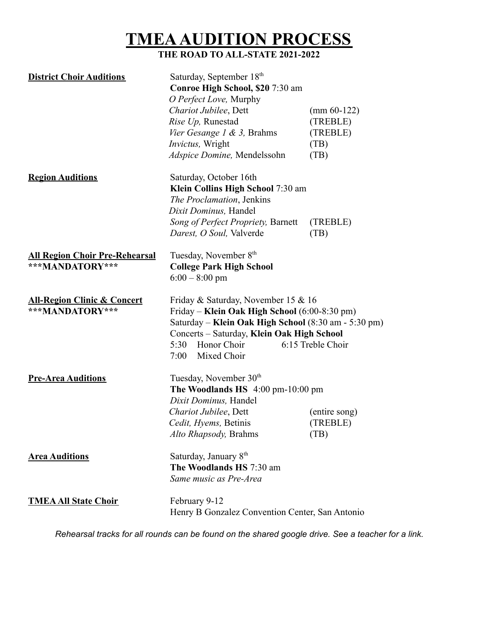## **TMEAAUDITION PROCESS**

## **THE ROAD TO ALL-STATE 2021-2022**

| <b>District Choir Auditions</b>                           | Saturday, September 18th<br>Conroe High School, \$20 7:30 am<br>O Perfect Love, Murphy<br>Chariot Jubilee, Dett<br>Rise Up, Runestad<br>Vier Gesange 1 & 3, Brahms<br>Invictus, Wright<br>Adspice Domine, Mendelssohn                                         | $\left( \text{mm } 60 - 122 \right)$<br>(TREBLE)<br>(TREBLE)<br>(TB)<br>(TB) |
|-----------------------------------------------------------|---------------------------------------------------------------------------------------------------------------------------------------------------------------------------------------------------------------------------------------------------------------|------------------------------------------------------------------------------|
| <b>Region Auditions</b>                                   | Saturday, October 16th<br>Klein Collins High School 7:30 am<br>The Proclamation, Jenkins<br>Dixit Dominus, Handel<br>Song of Perfect Propriety, Barnett<br>Darest, O Soul, Valverde                                                                           | (TREBLE)<br>(TB)                                                             |
| <b>All Region Choir Pre-Rehearsal</b><br>***MANDATORY***  | Tuesday, November 8th<br><b>College Park High School</b><br>$6:00 - 8:00$ pm                                                                                                                                                                                  |                                                                              |
| <b>All-Region Clinic &amp; Concert</b><br>***MANDATORY*** | Friday & Saturday, November 15 & 16<br>Friday - Klein Oak High School (6:00-8:30 pm)<br>Saturday - Klein Oak High School (8:30 am - 5:30 pm)<br>Concerts - Saturday, Klein Oak High School<br>Honor Choir<br>6:15 Treble Choir<br>5:30<br>Mixed Choir<br>7:00 |                                                                              |
| <b>Pre-Area Auditions</b>                                 | Tuesday, November 30 <sup>th</sup><br>The Woodlands HS 4:00 pm-10:00 pm<br>Dixit Dominus, Handel<br>Chariot Jubilee, Dett<br>Cedit, Hyems, Betinis<br>Alto Rhapsody, Brahms                                                                                   | (entire song)<br>(TREBLE)<br>(TB)                                            |
| <b>Area Auditions</b>                                     | Saturday, January 8 <sup>th</sup><br>The Woodlands HS 7:30 am<br>Same music as Pre-Area                                                                                                                                                                       |                                                                              |
| <b>TMEA All State Choir</b>                               | February 9-12<br>Henry B Gonzalez Convention Center, San Antonio                                                                                                                                                                                              |                                                                              |

Rehearsal tracks for all rounds can be found on the shared google drive. See a teacher for a link.